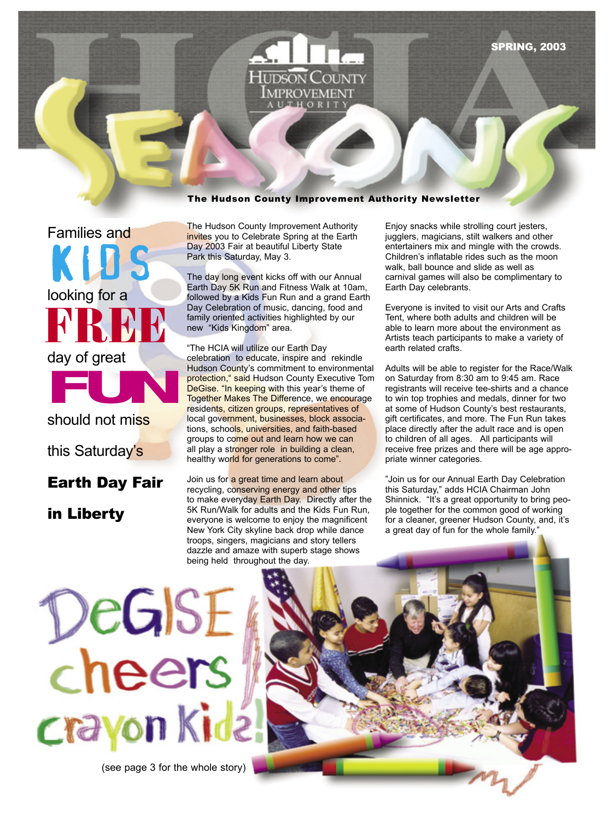

#### The Hudson County Improvement Authority Newsletter

KLOS looking for a<br>**RRBB** should not miss<br>this Saturday's Families and looking for a day of great should not mi<mark>ss</mark>

## this Saturday's

## **Earth Day Fair**

### in Liberty

The Hudson County Improvement Authority invites you to Celebrate Spring at the Earth Day 2003 Fair at beautiful Liberty State Park this Saturday, May 3.

The day long event kicks off with our Annual Earth Day 5K Run and Fitness Walk at 10am, followed by a Kids Fun Run and a grand Earth Day Celebration of music, dancing, food and family oriented activities highlighted by our new "Kids Kingdom" area.

The HCIA will utilize our Earth Day celebration to educate, inspire and rekindle Hudson County's commitment to environmental protection," said Hudson County Executive Tom DeGise. "In keeping with this year's theme of Together Makes The Difference, we encourage residents, citizen groups, representatives of local government, businesses, block associations, schools, universities, and faith-based groups to come out and learn how we can all play a stronger role in building a clean, healthy world for generations to come".

Join us for a great time and learn about recycling, conserving energy and other tips to make everyday Earth Day. Directly after the 5K Run/Walk for adults and the Kids Fun Run, everyone is welcome to enjoy the magnificent New York City skyline back drop while dance troops, singers, magicians and story tellers dazzle and amaze with superb stage shows being held throughout the day.

Enjoy snacks while strolling court jesters, jugglers, magicians, stilt walkers and other entertainers mix and mingle with the crowds. Children's inflatable rides such as the moon walk, ball bounce and slide as well as carnival games will also be complimentary to Earth Day celebrants.

Everyone is invited to visit our Arts and Crafts Tent, where both adults and children will be able to learn more about the environment as Artists teach participants to make a variety of earth related crafts.

Adults will be able to register for the Race/Walk on Saturday from 8:30 am to 9:45 am. Race registrants will receive tee-shirts and a chance to win top trophies and medals, dinner for two at some of Hudson County's best restaurants, gift certificates, and more. The Fun Run takes place directly after the adult race and is open to children of all ages. All participants will receive free prizes and there will be age appropriate winner categories.

Join us for our Annual Earth Day Celebration this Saturday," adds HCIA Chairman John Shinnick. "It's a great opportunity to bring people together for the common good of working for a cleaner, greener Hudson County, and, it's a great day of fun for the whole family.



(see page 3 for the whole story)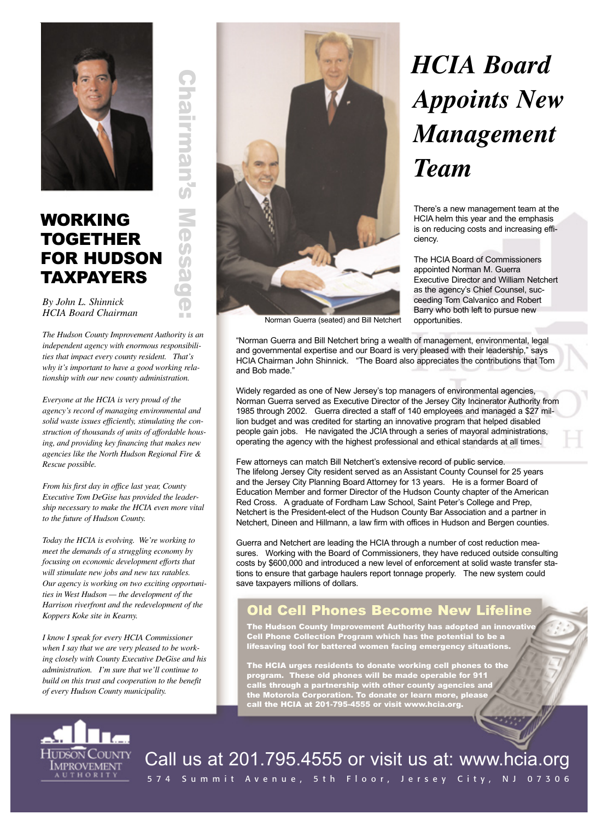

# **Irman FOR HUDSON**

**The Co** 

By John L. Shinnick **HCIA Board Chairman** 

**TAXPAYERS** 

**WORKING** 

**TOGETHER** 

The Hudson County Improvement Authority is an independent agency with enormous responsibilities that impact every county resident. That's why it's important to have a good working relationship with our new county administration.

Everyone at the HCIA is very proud of the agency's record of managing environmental and solid waste issues efficiently, stimulating the construction of thousands of units of affordable housing, and providing key financing that makes new agencies like the North Hudson Regional Fire & Rescue possible.

From his first day in office last year, County Executive Tom DeGise has provided the leadership necessary to make the HCIA even more vital to the future of Hudson County.

Today the HCIA is evolving. We're working to meet the demands of a struggling economy by focusing on economic development efforts that will stimulate new jobs and new tax ratables. Our agency is working on two exciting opportunities in West Hudson - the development of the Harrison riverfront and the redevelopment of the Koppers Koke site in Kearny.

I know I speak for every HCIA Commissioner when I say that we are very pleased to be working closely with County Executive DeGise and his administration. I'm sure that we'll continue to build on this trust and cooperation to the benefit of every Hudson County municipality.



# **HCIA Board Appoints New** Management **Team**

There's a new management team at the HCIA helm this year and the emphasis is on reducing costs and increasing efficiency.

The HCIA Board of Commissioners appointed Norman M. Guerra **Executive Director and William Netchert** as the agency's Chief Counsel, succeeding Tom Calvanico and Robert Barry who both left to pursue new opportunities.

"Norman Guerra and Bill Netchert bring a wealth of management, environmental, legal and governmental expertise and our Board is very pleased with their leadership," says HCIA Chairman John Shinnick. "The Board also appreciates the contributions that Tom and Bob made."

Widely regarded as one of New Jersey's top managers of environmental agencies, Norman Guerra served as Executive Director of the Jersey City Incinerator Authority from 1985 through 2002. Guerra directed a staff of 140 employees and managed a \$27 million budget and was credited for starting an innovative program that helped disabled people gain jobs. He navigated the JCIA through a series of mayoral administrations, operating the agency with the highest professional and ethical standards at all times.

Few attorneys can match Bill Netchert's extensive record of public service. The lifelong Jersey City resident served as an Assistant County Counsel for 25 years and the Jersey City Planning Board Attorney for 13 years. He is a former Board of Education Member and former Director of the Hudson County chapter of the American Red Cross. A graduate of Fordham Law School, Saint Peter's College and Prep, Netchert is the President-elect of the Hudson County Bar Association and a partner in Netchert, Dineen and Hillmann, a law firm with offices in Hudson and Bergen counties.

Guerra and Netchert are leading the HCIA through a number of cost reduction measures. Working with the Board of Commissioners, they have reduced outside consulting costs by \$600,000 and introduced a new level of enforcement at solid waste transfer stations to ensure that garbage haulers report tonnage properly. The new system could save taxpayers millions of dollars.

## Old Cell Phones Become New Lifeline

The Hudson County Improvement Authority has adopted an innovativ Cell Phone Collection Program which has the potential to be a<br>lifesaving tool for battered women facing emergency situations.

The HCIA urges residents to donate working cell phones to the<br>program. These old phones will be made operable for 911<br>calls through a partnership with other county agencies and<br>the Motorola Corporation. To donate or learn



Call us at 201.795.4555 or visit us at: www.hcia.org

574 Summit Avenue, 5th Floor, Jersey City, NJ 07306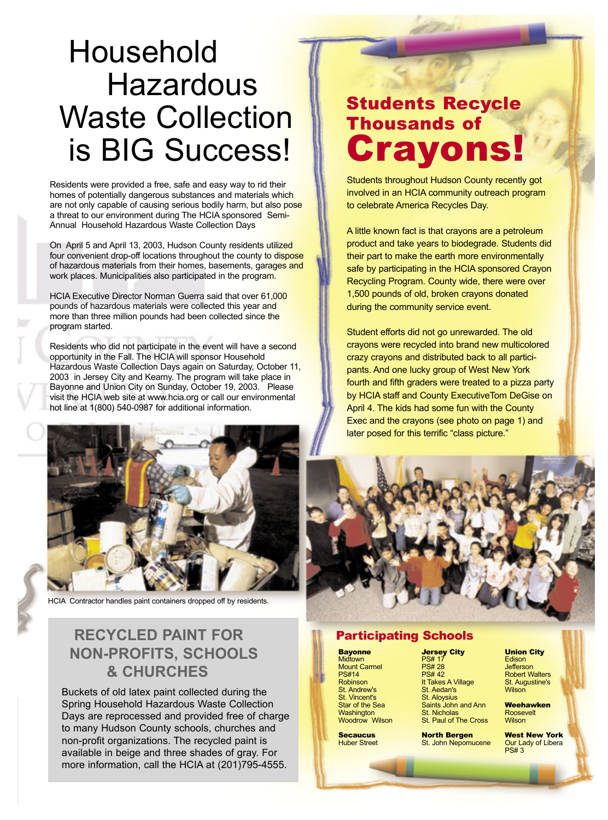# Household Hazardous Waste Collection is BIG Success!

Residents were provided a free, safe and easy way to rid their homes of potentially dangerous substances and materials which are not only capable of causing serious bodily harm, but also pose a threat to our environment during The HCIA sponsored Semi-Annual Household Hazardous Waste Collection Days

On April 5 and April 13, 2003, Hudson County residents utilized four convenient drop-off locations throughout the county to dispose of hazardous materials from their homes, basements, garages and work places. Municipalities also participated in the program.

HCIA Executive Director Norman Guerra said that over 61,000 pounds of hazardous materials were collected this year and more than three million pounds had been collected since the program started.

Residents who did not participate in the event will have a second opportunity in the Fall. The HCIA will sponsor Household Hazardous Waste Collection Days again on Saturday, October 11, 2003 in Jersey City and Kearny. The program will take place in Bayonne and Union City on Sunday, October 19, 2003. Please visit the HCIA web site at www.hcia.org or call our environmental hot line at 1(800) 540-0987 for additional information.



HCIA Contractor handles paint containers dropped off by residents.

## **RECYCLED PAINT FOR NON-PROFITS, SCHOOLS & CHURCHES**

Buckets of old latex paint collected during the Spring Household Hazardous Waste Collection Days are reprocessed and provided free of charge to many Hudson County schools, churches and non-profit organizations. The recycled paint is available in beige and three shades of gray. For more information, call the HCIA at (201)795-4555.

# Students Recycle Thousands of **Crayon**

Students throughout Hudson County recently got involved in an HCIA community outreach program to celebrate America Recycles Day.

A little known fact is that crayons are a petroleum product and take years to biodegrade. Students did their part to make the earth more environmentally safe by participating in the HCIA sponsored Crayon Recycling Program. County wide, there were over 1,500 pounds of old, broken crayons donated during the community service event.

Student efforts did not go unrewarded. The old crayons were recycled into brand new multicolored crazy crayons and distributed back to all participants. And one lucky group of West New York fourth and fifth graders were treated to a pizza party by HCIA staff and County ExecutiveTom DeGise on April 4. The kids had some fun with the County Exec and the crayons (see photo on page 1) and later posed for this terrific "class picture."



#### Participating Schools

**Bayonne Midtown** Mount Carmel PS#14 Robinson St. Andrew's St. Vincent's Star of the Sea **Washington** Woodrow Wilson

**Secaucus** Huber Street

Jersey City PS# 17 PS# 28 PS# 42 It Takes A Village St. Aedan's St. Aloysius Saints John and Ann St. Nicholas St. Paul of The Cross

North Bergen St. John Nepomucene

#### Union City

**Edison Jefferson** Robert Walters St. Augustine's **Wilson** 

Weehawken Roosevelt **Wilson** 

West New York Our Lady of Libera PS# 3